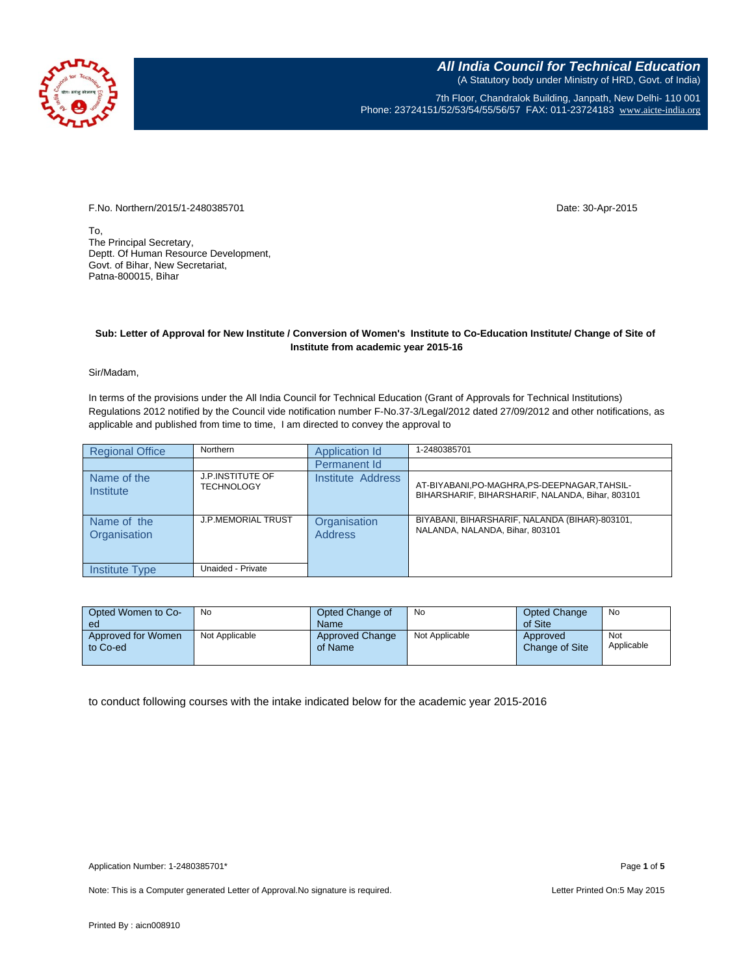

7th Floor, Chandralok Building, Janpath, New Delhi- 110 001 Phone: 23724151/52/53/54/55/56/57 FAX: 011-23724183 [www.aicte-india.org](http://www.aicte-india.org/)

F.No. Northern/2015/1-2480385701 Date: 30-Apr-2015

To, The Principal Secretary, Deptt. Of Human Resource Development, Govt. of Bihar, New Secretariat, Patna-800015, Bihar

## **Sub: Letter of Approval for New Institute / Conversion of Women's Institute to Co-Education Institute/ Change of Site of Institute from academic year 2015-16**

Sir/Madam,

In terms of the provisions under the All India Council for Technical Education (Grant of Approvals for Technical Institutions) Regulations 2012 notified by the Council vide notification number F-No.37-3/Legal/2012 dated 27/09/2012 and other notifications, as applicable and published from time to time, I am directed to convey the approval to

| <b>Regional Office</b>      | Northern                                     | Application Id                 | 1-2480385701                                                                                      |
|-----------------------------|----------------------------------------------|--------------------------------|---------------------------------------------------------------------------------------------------|
|                             |                                              | Permanent Id                   |                                                                                                   |
| Name of the<br>Institute    | <b>J.P.INSTITUTE OF</b><br><b>TECHNOLOGY</b> | Institute Address              | AT-BIYABANI, PO-MAGHRA, PS-DEEPNAGAR, TAHSIL-<br>BIHARSHARIF, BIHARSHARIF, NALANDA, Bihar, 803101 |
| Name of the<br>Organisation | <b>J.P.MEMORIAL TRUST</b>                    | Organisation<br><b>Address</b> | BIYABANI, BIHARSHARIF, NALANDA (BIHAR)-803101,<br>NALANDA, NALANDA, Bihar, 803101                 |
| Institute Type              | Unaided - Private                            |                                |                                                                                                   |

| Opted Women to Co-<br>ed       | No             | Opted Change of<br><b>Name</b>    | No             | <b>Opted Change</b><br>of Site | No                |
|--------------------------------|----------------|-----------------------------------|----------------|--------------------------------|-------------------|
| Approved for Women<br>to Co-ed | Not Applicable | <b>Approved Change</b><br>of Name | Not Applicable | Approved<br>Change of Site     | Not<br>Applicable |

to conduct following courses with the intake indicated below for the academic year 2015-2016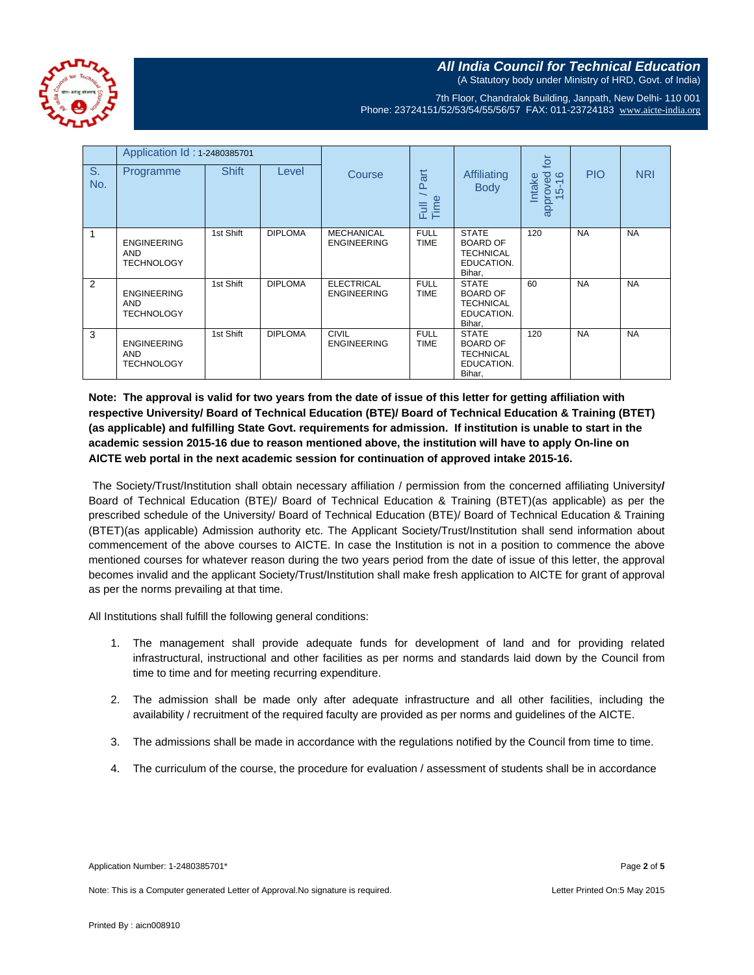**All India Council for Technical Education** (A Statutory body under Ministry of HRD, Govt. of India)

7th Floor, Chandralok Building, Janpath, New Delhi- 110 001 Phone: 23724151/52/53/54/55/56/57 FAX: 011-23724183 [www.aicte-india.org](http://www.aicte-india.org/)

|           | Application Id: 1-2480385701                          |              |                |                                         |                            |                                                                             | _<br>Qi                     |            |            |
|-----------|-------------------------------------------------------|--------------|----------------|-----------------------------------------|----------------------------|-----------------------------------------------------------------------------|-----------------------------|------------|------------|
| S.<br>No. | Programme                                             | <b>Shift</b> | Level          | Course                                  | Part<br>Full /<br>Time     | <b>Affiliating</b><br><b>Body</b>                                           | approved<br>15-16<br>Intake | <b>PIO</b> | <b>NRI</b> |
| 1         | <b>ENGINEERING</b><br><b>AND</b><br><b>TECHNOLOGY</b> | 1st Shift    | <b>DIPLOMA</b> | <b>MECHANICAL</b><br><b>ENGINEERING</b> | <b>FULL</b><br><b>TIME</b> | <b>STATE</b><br><b>BOARD OF</b><br><b>TECHNICAL</b><br>EDUCATION.<br>Bihar, | 120                         | <b>NA</b>  | <b>NA</b>  |
| 2         | <b>ENGINEERING</b><br><b>AND</b><br><b>TECHNOLOGY</b> | 1st Shift    | <b>DIPLOMA</b> | <b>ELECTRICAL</b><br><b>ENGINEERING</b> | <b>FULL</b><br><b>TIME</b> | <b>STATE</b><br><b>BOARD OF</b><br><b>TECHNICAL</b><br>EDUCATION.<br>Bihar. | 60                          | <b>NA</b>  | <b>NA</b>  |
| 3         | <b>ENGINEERING</b><br><b>AND</b><br><b>TECHNOLOGY</b> | 1st Shift    | <b>DIPLOMA</b> | <b>CIVIL</b><br><b>ENGINEERING</b>      | <b>FULL</b><br>TIME        | <b>STATE</b><br><b>BOARD OF</b><br><b>TECHNICAL</b><br>EDUCATION.<br>Bihar, | 120                         | <b>NA</b>  | <b>NA</b>  |

**Note: The approval is valid for two years from the date of issue of this letter for getting affiliation with respective University/ Board of Technical Education (BTE)/ Board of Technical Education & Training (BTET) (as applicable) and fulfilling State Govt. requirements for admission. If institution is unable to start in the academic session 2015-16 due to reason mentioned above, the institution will have to apply On-line on AICTE web portal in the next academic session for continuation of approved intake 2015-16.**

The Society/Trust/Institution shall obtain necessary affiliation / permission from the concerned affiliating University**/** Board of Technical Education (BTE)/ Board of Technical Education & Training (BTET)(as applicable) as per the prescribed schedule of the University/ Board of Technical Education (BTE)/ Board of Technical Education & Training (BTET)(as applicable) Admission authority etc. The Applicant Society/Trust/Institution shall send information about commencement of the above courses to AICTE. In case the Institution is not in a position to commence the above mentioned courses for whatever reason during the two years period from the date of issue of this letter, the approval becomes invalid and the applicant Society/Trust/Institution shall make fresh application to AICTE for grant of approval as per the norms prevailing at that time.

All Institutions shall fulfill the following general conditions:

- 1. The management shall provide adequate funds for development of land and for providing related infrastructural, instructional and other facilities as per norms and standards laid down by the Council from time to time and for meeting recurring expenditure.
- 2. The admission shall be made only after adequate infrastructure and all other facilities, including the availability / recruitment of the required faculty are provided as per norms and guidelines of the AICTE.
- 3. The admissions shall be made in accordance with the regulations notified by the Council from time to time.
- 4. The curriculum of the course, the procedure for evaluation / assessment of students shall be in accordance

Application Number: 1-2480385701\* Page **2** of **5**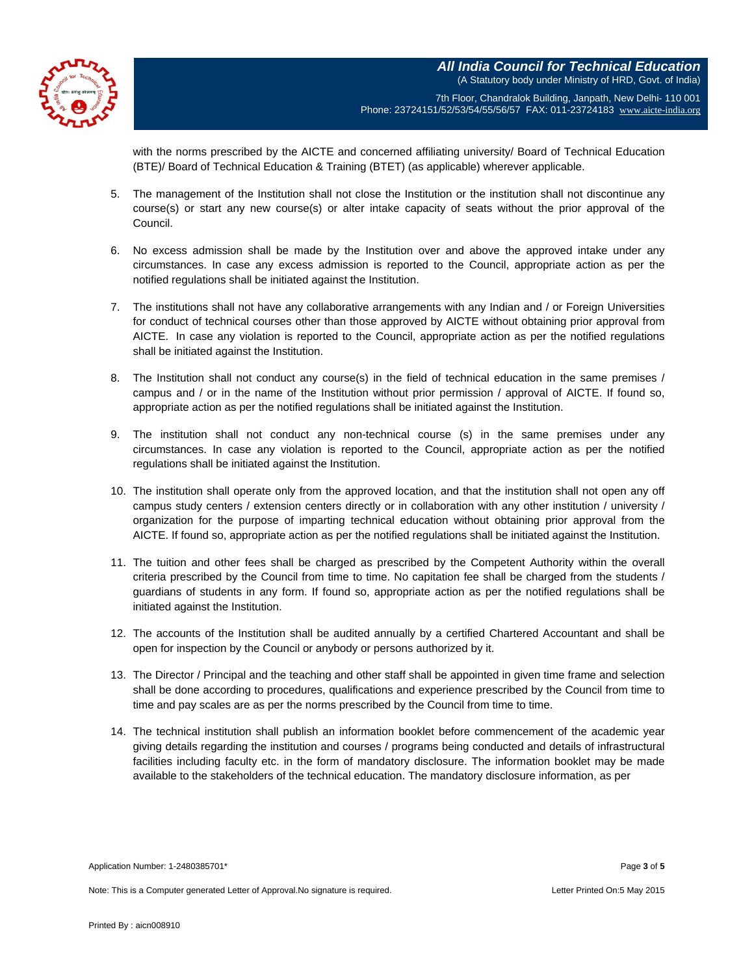

7th Floor, Chandralok Building, Janpath, New Delhi- 110 001 Phone: 23724151/52/53/54/55/56/57 FAX: 011-23724183 [www.aicte-india.org](http://www.aicte-india.org/)

with the norms prescribed by the AICTE and concerned affiliating university/ Board of Technical Education (BTE)/ Board of Technical Education & Training (BTET) (as applicable) wherever applicable.

- 5. The management of the Institution shall not close the Institution or the institution shall not discontinue any course(s) or start any new course(s) or alter intake capacity of seats without the prior approval of the Council.
- 6. No excess admission shall be made by the Institution over and above the approved intake under any circumstances. In case any excess admission is reported to the Council, appropriate action as per the notified regulations shall be initiated against the Institution.
- 7. The institutions shall not have any collaborative arrangements with any Indian and / or Foreign Universities for conduct of technical courses other than those approved by AICTE without obtaining prior approval from AICTE. In case any violation is reported to the Council, appropriate action as per the notified regulations shall be initiated against the Institution.
- 8. The Institution shall not conduct any course(s) in the field of technical education in the same premises / campus and / or in the name of the Institution without prior permission / approval of AICTE. If found so, appropriate action as per the notified regulations shall be initiated against the Institution.
- 9. The institution shall not conduct any non-technical course (s) in the same premises under any circumstances. In case any violation is reported to the Council, appropriate action as per the notified regulations shall be initiated against the Institution.
- 10. The institution shall operate only from the approved location, and that the institution shall not open any off campus study centers / extension centers directly or in collaboration with any other institution / university / organization for the purpose of imparting technical education without obtaining prior approval from the AICTE. If found so, appropriate action as per the notified regulations shall be initiated against the Institution.
- 11. The tuition and other fees shall be charged as prescribed by the Competent Authority within the overall criteria prescribed by the Council from time to time. No capitation fee shall be charged from the students / guardians of students in any form. If found so, appropriate action as per the notified regulations shall be initiated against the Institution.
- 12. The accounts of the Institution shall be audited annually by a certified Chartered Accountant and shall be open for inspection by the Council or anybody or persons authorized by it.
- 13. The Director / Principal and the teaching and other staff shall be appointed in given time frame and selection shall be done according to procedures, qualifications and experience prescribed by the Council from time to time and pay scales are as per the norms prescribed by the Council from time to time.
- 14. The technical institution shall publish an information booklet before commencement of the academic year giving details regarding the institution and courses / programs being conducted and details of infrastructural facilities including faculty etc. in the form of mandatory disclosure. The information booklet may be made available to the stakeholders of the technical education. The mandatory disclosure information, as per

Application Number: 1-2480385701\* Page **3** of **5**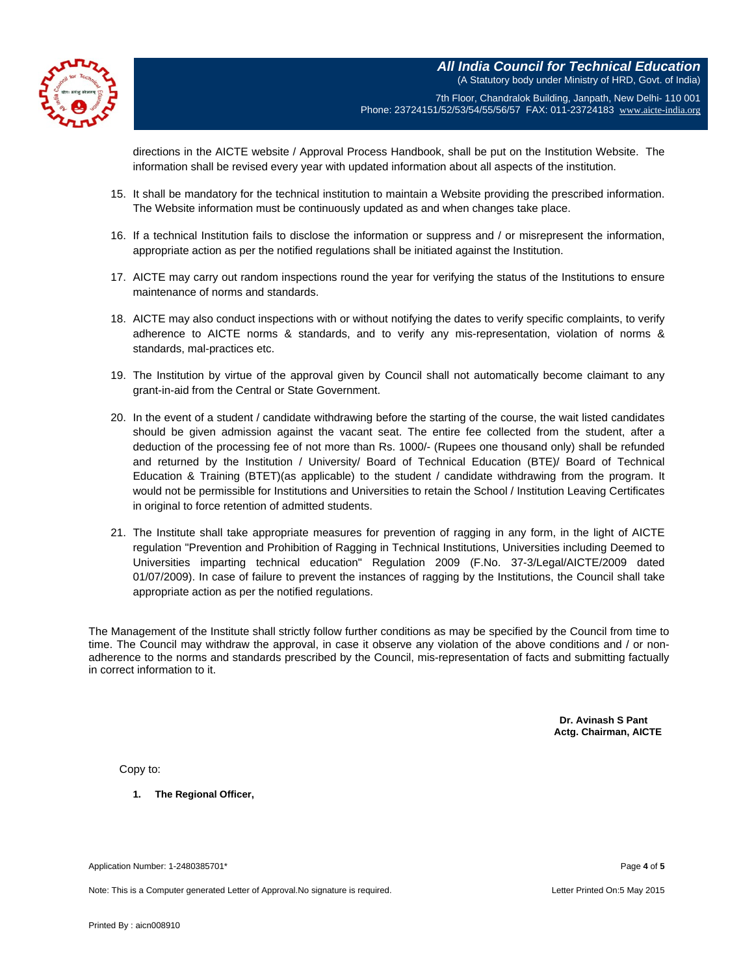**All India Council for Technical Education** (A Statutory body under Ministry of HRD, Govt. of India)



7th Floor, Chandralok Building, Janpath, New Delhi- 110 001 Phone: 23724151/52/53/54/55/56/57 FAX: 011-23724183 [www.aicte-india.org](http://www.aicte-india.org/)

directions in the AICTE website / Approval Process Handbook, shall be put on the Institution Website. The information shall be revised every year with updated information about all aspects of the institution.

- 15. It shall be mandatory for the technical institution to maintain a Website providing the prescribed information. The Website information must be continuously updated as and when changes take place.
- 16. If a technical Institution fails to disclose the information or suppress and / or misrepresent the information, appropriate action as per the notified regulations shall be initiated against the Institution.
- 17. AICTE may carry out random inspections round the year for verifying the status of the Institutions to ensure maintenance of norms and standards.
- 18. AICTE may also conduct inspections with or without notifying the dates to verify specific complaints, to verify adherence to AICTE norms & standards, and to verify any mis-representation, violation of norms & standards, mal-practices etc.
- 19. The Institution by virtue of the approval given by Council shall not automatically become claimant to any grant-in-aid from the Central or State Government.
- 20. In the event of a student / candidate withdrawing before the starting of the course, the wait listed candidates should be given admission against the vacant seat. The entire fee collected from the student, after a deduction of the processing fee of not more than Rs. 1000/- (Rupees one thousand only) shall be refunded and returned by the Institution / University/ Board of Technical Education (BTE)/ Board of Technical Education & Training (BTET)(as applicable) to the student / candidate withdrawing from the program. It would not be permissible for Institutions and Universities to retain the School / Institution Leaving Certificates in original to force retention of admitted students.
- 21. The Institute shall take appropriate measures for prevention of ragging in any form, in the light of AICTE regulation "Prevention and Prohibition of Ragging in Technical Institutions, Universities including Deemed to Universities imparting technical education" Regulation 2009 (F.No. 37-3/Legal/AICTE/2009 dated 01/07/2009). In case of failure to prevent the instances of ragging by the Institutions, the Council shall take appropriate action as per the notified regulations.

The Management of the Institute shall strictly follow further conditions as may be specified by the Council from time to time. The Council may withdraw the approval, in case it observe any violation of the above conditions and / or nonadherence to the norms and standards prescribed by the Council, mis-representation of facts and submitting factually in correct information to it.

> **Dr. Avinash S Pant Actg. Chairman, AICTE**

Copy to:

**1. The Regional Officer,**

Application Number: 1-2480385701\* Page **4** of **5**